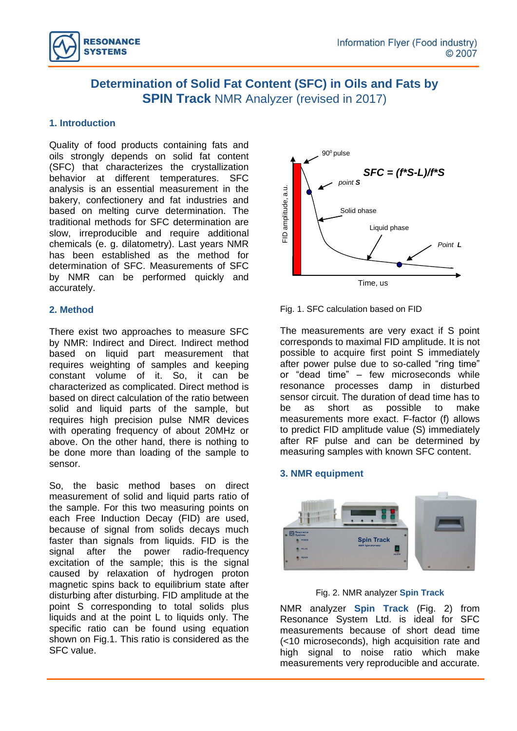

# **Determination of Solid Fat Content (SFC) in Oils and Fats by SPIN Track NMR Analyzer (revised in 2017)**

## **1. Introduction**

Quality of food products containing fats and oils strongly depends on solid fat content (SFC) that characterizes the crystallization behavior at different temperatures. SFC analysis is an essential measurement in the bakery, confectionery and fat industries and based on melting curve determination. The traditional methods for SFC determination are slow, irreproducible and require additional chemicals (e. g. dilatometry). Last years NMR has been established as the method for determination of SFC. Measurements of SFC by NMR can be performed quickly and accurately.

### **2. Method**

There exist two approaches to measure SFC by NMR: Indirect and Direct. Indirect method based on liquid part measurement that requires weighting of samples and keeping constant volume of it. So, it can be characterized as complicated. Direct method is based on direct calculation of the ratio between solid and liquid parts of the sample, but requires high precision pulse NMR devices with operating frequency of about 20MHz or above. On the other hand, there is nothing to be done more than loading of the sample to sensor.

So, the basic method bases on direct measurement of solid and liquid parts ratio of the sample. For this two measuring points on each Free Induction Decay (FID) are used, because of signal from solids decays much faster than signals from liquids. FID is the signal after the power radio-frequency excitation of the sample; this is the signal caused by relaxation of hydrogen proton magnetic spins back to equilibrium state after disturbing after disturbing. FID amplitude at the point S corresponding to total solids plus liquids and at the point L to liquids only. The specific ratio can be found using equation shown on Fig.1. This ratio is considered as the SFC value.



Fig. 1. SFC calculation based on FID

The measurements are very exact if S point corresponds to maximal FID amplitude. It is not possible to acquire first point S immediately after power pulse due to so-called "ring time" or "dead time" – few microseconds while resonance processes damp in disturbed sensor circuit. The duration of dead time has to be as short as possible to make measurements more exact. F-factor (f) allows to predict FID amplitude value (S) immediately after RF pulse and can be determined by measuring samples with known SFC content.

### **3. NMR equipment**



Fig. 2. NMR analyzer **Spin Track**

NMR analyzer **Spin Track** (Fig. 2) from Resonance System Ltd. is ideal for SFC measurements because of short dead time (<10 microseconds), high acquisition rate and high signal to noise ratio which make measurements very reproducible and accurate.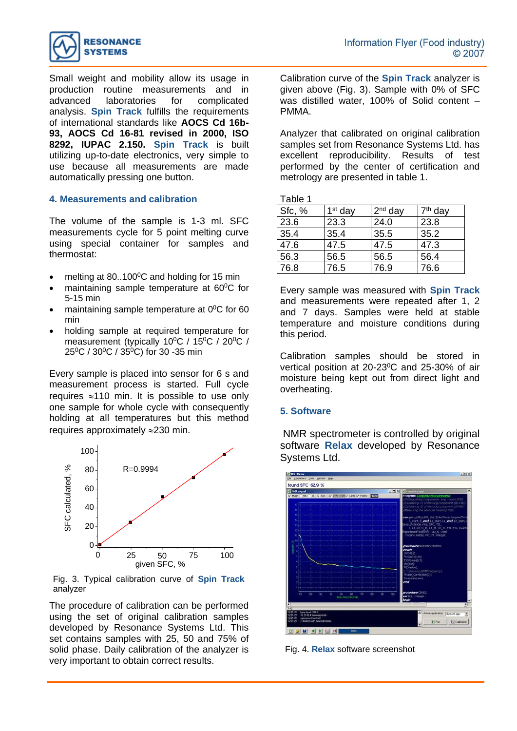

Small weight and mobility allow its usage in production routine measurements and in advanced laboratories for complicated analysis. **Spin Track** fulfills the requirements of international standards like **AOCS Cd 16b-93, AOCS Cd 16-81 revised in 2000, ISO 8292, IUPAC 2.150. Spin Track** is built utilizing up-to-date electronics, very simple to use because all measurements are made automatically pressing one button.

#### **4. Measurements and calibration**

The volume of the sample is 1-3 ml. SFC measurements cycle for 5 point melting curve using special container for samples and thermostat:

- melting at  $80.100^{\circ}$ C and holding for 15 min
- maintaining sample temperature at 60<sup>°</sup>C for 5-15 min
- maintaining sample temperature at  $0^0C$  for 60 min
- holding sample at required temperature for measurement (typically 10<sup>o</sup>C / 15<sup>o</sup>C / 20<sup>o</sup>C / 25<sup>0</sup>C / 30<sup>0</sup>C / 35<sup>0</sup>C) for 30 -35 min

Every sample is placed into sensor for 6 s and measurement process is started. Full cycle requires  $\approx$  110 min. It is possible to use only one sample for whole cycle with consequently holding at all temperatures but this method requires approximately  $\approx$  230 min.



Fig. 3. Typical calibration curve of **Spin Track** analyzer

The procedure of calibration can be performed using the set of original calibration samples developed by Resonance Systems Ltd. This set contains samples with 25, 50 and 75% of solid phase. Daily calibration of the analyzer is very important to obtain correct results.

Calibration curve of the **Spin Track** analyzer is given above (Fig. 3). Sample with 0% of SFC was distilled water, 100% of Solid content – PMMA.

Analyzer that calibrated on original calibration samples set from Resonance Systems Ltd. has excellent reproducibility. Results of test performed by the center of certification and metrology are presented in table 1.

Table 1

| Sfc, % | $1st$ day | $2nd$ day | 7 <sup>th</sup> day |
|--------|-----------|-----------|---------------------|
| 23.6   | 23.3      | 24.0      | 23.8                |
| 35.4   | 35.4      | 35.5      | 35.2                |
| 47.6   | 47.5      | 47.5      | 47.3                |
| 56.3   | 56.5      | 56.5      | 56.4                |
| 76.8   | 76.5      | 76.9      | 76.6                |

Every sample was measured with **Spin Track** and measurements were repeated after 1, 2 and 7 days. Samples were held at stable temperature and moisture conditions during this period.

Calibration samples should be stored in vertical position at 20-23<sup>o</sup>C and 25-30% of air moisture being kept out from direct light and overheating.

### **5. Software**

NMR spectrometer is controlled by original software **Relax** developed by Resonance Systems Ltd.



Fig. 4. **Relax** software screenshot